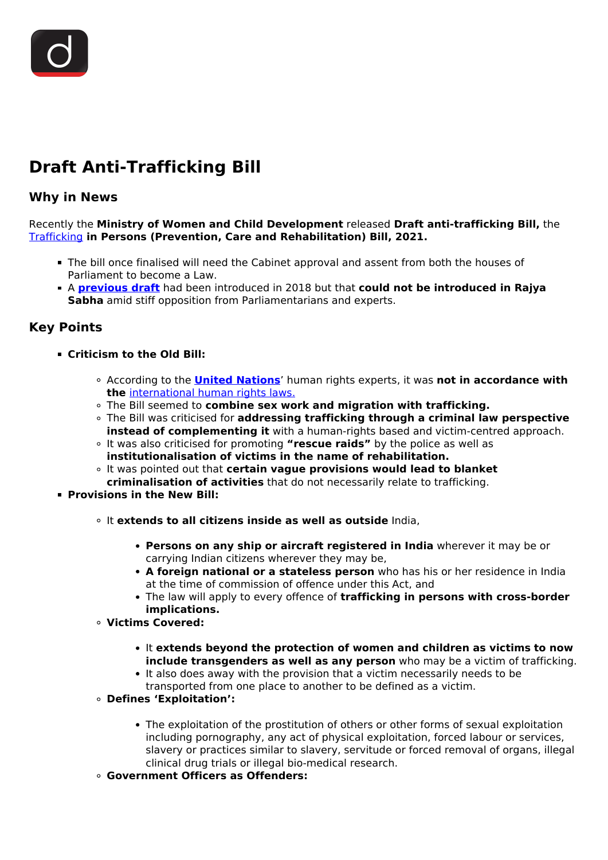## **Draft Anti-Trafficking Bill**

## **Why in News**

Recently the **Ministry of Women and Child Development** released **Draft anti-trafficking Bill,** the [Trafficking](/daily-updates/daily-news-analysis/trafficking-in-persons-report-1) **in Persons (Prevention, Care and Rehabilitation) Bill, 2021.**

- The bill once finalised will need the Cabinet approval and assent from both the houses of Parliament to become a Law.
- A **[previous draft](/daily-updates/daily-news-analysis/government-clarifies-on-the-anti-human-trafficking-bill)** had been introduced in 2018 but that **could not be introduced in Rajya Sabha** amid stiff opposition from Parliamentarians and experts.

## **Key Points**

- **Criticism to the Old Bill:**
	- According to the **[United Nations](/important-institutions/drishti-specials-important-institutions-international-institution/united-nations-1)**' human rights experts, it was **not in accordance with the** [international human rights laws.](/daily-updates/daily-news-analysis/human-rights-day-2)
	- The Bill seemed to **combine sex work and migration with trafficking.**
	- The Bill was criticised for **addressing trafficking through a criminal law perspective instead of complementing it** with a human-rights based and victim-centred approach.
	- It was also criticised for promoting **"rescue raids"** by the police as well as **institutionalisation of victims in the name of rehabilitation.**
	- It was pointed out that **certain vague provisions would lead to blanket criminalisation of activities** that do not necessarily relate to trafficking.
- **Provisions in the New Bill:**
	- It **extends to all citizens inside as well as outside** India,
		- **Persons on any ship or aircraft registered in India** wherever it may be or carrying Indian citizens wherever they may be,
		- **A foreign national or a stateless person** who has his or her residence in India at the time of commission of offence under this Act, and
		- The law will apply to every offence of **trafficking in persons with cross-border implications.**
	- **Victims Covered:**
		- It **extends beyond the protection of women and children as victims to now include transgenders as well as any person** who may be a victim of trafficking.
		- It also does away with the provision that a victim necessarily needs to be transported from one place to another to be defined as a victim.
	- **Defines 'Exploitation':**
		- The exploitation of the prostitution of others or other forms of sexual exploitation including pornography, any act of physical exploitation, forced labour or services, slavery or practices similar to slavery, servitude or forced removal of organs, illegal clinical drug trials or illegal bio-medical research.
	- **Government Officers as Offenders:**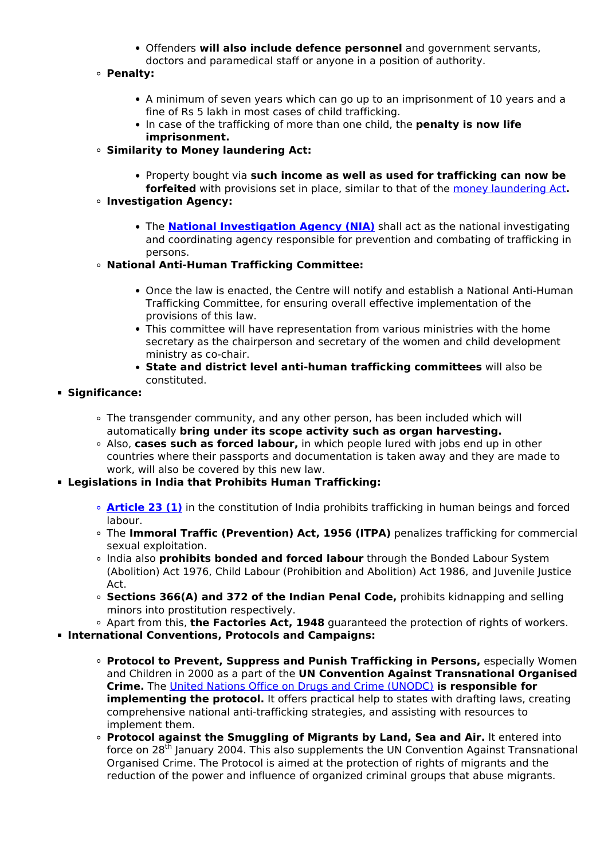- Offenders **will also include defence personnel** and government servants, doctors and paramedical staff or anyone in a position of authority.
- **Penalty:**
	- A minimum of seven years which can go up to an imprisonment of 10 years and a fine of Rs 5 lakh in most cases of child trafficking.
	- In case of the trafficking of more than one child, the **penalty is now life imprisonment.**
- **Similarity to Money laundering Act:**
	- Property bought via **such income as well as used for trafficking can now be**

**forfeited** with provisions set in place, similar to that of the [money laundering Act](/daily-updates/daily-news-analysis/fugitive-economic-offenders-2#:~:text=Money%20laundering%20is%20concealing%20or,drug%20trafficking%2C%20robbery%20or%20extortion.)**. Investigation Agency:**

**•** The **[National Investigation Agency \(NIA\)](/important-institutions/drishti-specials-important-institutions-national-institutions/national-investigation-agency)** shall act as the national investigating and coordinating agency responsible for prevention and combating of trafficking in persons.

## **National Anti-Human Trafficking Committee:**

- Once the law is enacted, the Centre will notify and establish a National Anti-Human Trafficking Committee, for ensuring overall effective implementation of the provisions of this law.
- This committee will have representation from various ministries with the home secretary as the chairperson and secretary of the women and child development ministry as co-chair.
- **State and district level anti-human trafficking committees** will also be constituted.
- **Significance:**
	- The transgender community, and any other person, has been included which will automatically **bring under its scope activity such as organ harvesting.**
	- Also, **cases such as forced labour,** in which people lured with jobs end up in other countries where their passports and documentation is taken away and they are made to work, will also be covered by this new law.
- **Legislations in India that Prohibits Human Trafficking:**
	- **[Article 23 \(1\)](/daily-updates/daily-news-editorials/analysing-the-new-anti-trafficking-bill)** in the constitution of India prohibits trafficking in human beings and forced labour.
	- The **Immoral Traffic (Prevention) Act, 1956 (ITPA)** penalizes trafficking for commercial sexual exploitation.
	- India also **prohibits bonded and forced labour** through the Bonded Labour System (Abolition) Act 1976, Child Labour (Prohibition and Abolition) Act 1986, and Juvenile Justice Act.
	- **Sections 366(A) and 372 of the Indian Penal Code,** prohibits kidnapping and selling minors into prostitution respectively.
	- Apart from this, **the Factories Act, 1948** guaranteed the protection of rights of workers.
- **International Conventions, Protocols and Campaigns:**
	- **Protocol to Prevent, Suppress and Punish Trafficking in Persons,** especially Women and Children in 2000 as a part of the **UN Convention Against Transnational Organised Crime.** The [United Nations Office on Drugs and Crime \(UNODC\)](/daily-updates/daily-news-analysis/illicit-drug-supply-and-covid-19-unodc) **is responsible for implementing the protocol.** It offers practical help to states with drafting laws, creating comprehensive national anti-trafficking strategies, and assisting with resources to implement them.
	- **Protocol against the Smuggling of Migrants by Land, Sea and Air.** It entered into force on  $28<sup>th</sup>$  January 2004. This also supplements the UN Convention Against Transnational Organised Crime. The Protocol is aimed at the protection of rights of migrants and the reduction of the power and influence of organized criminal groups that abuse migrants.